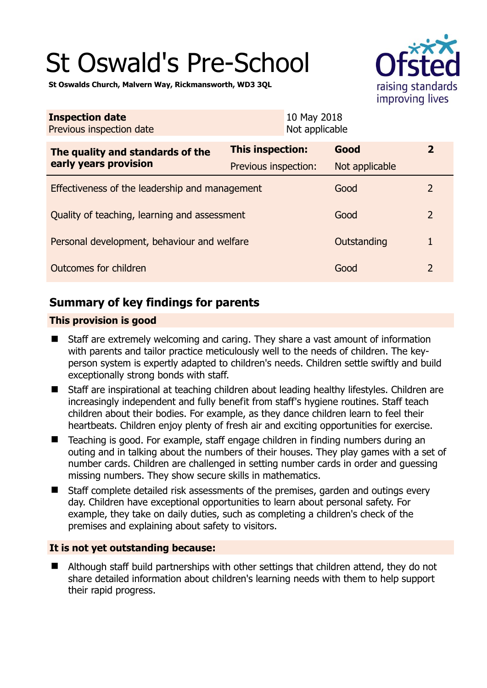# St Oswald's Pre-School



**St Oswalds Church, Malvern Way, Rickmansworth, WD3 3QL** 

| <b>Inspection date</b><br>Previous inspection date        | 10 May 2018<br>Not applicable |                |                |
|-----------------------------------------------------------|-------------------------------|----------------|----------------|
| The quality and standards of the<br>early years provision | This inspection:              | Good           | $\mathbf{2}$   |
|                                                           | Previous inspection:          | Not applicable |                |
| Effectiveness of the leadership and management            |                               | Good           | $\mathcal{P}$  |
| Quality of teaching, learning and assessment              |                               | Good           | $\overline{2}$ |
| Personal development, behaviour and welfare               |                               | Outstanding    | 1              |
| Outcomes for children<br>Good                             |                               |                | $\overline{2}$ |

# **Summary of key findings for parents**

## **This provision is good**

- Staff are extremely welcoming and caring. They share a vast amount of information with parents and tailor practice meticulously well to the needs of children. The keyperson system is expertly adapted to children's needs. Children settle swiftly and build exceptionally strong bonds with staff.
- Staff are inspirational at teaching children about leading healthy lifestyles. Children are increasingly independent and fully benefit from staff's hygiene routines. Staff teach children about their bodies. For example, as they dance children learn to feel their heartbeats. Children enjoy plenty of fresh air and exciting opportunities for exercise.
- Teaching is good. For example, staff engage children in finding numbers during an outing and in talking about the numbers of their houses. They play games with a set of number cards. Children are challenged in setting number cards in order and guessing missing numbers. They show secure skills in mathematics.
- Staff complete detailed risk assessments of the premises, garden and outings every day. Children have exceptional opportunities to learn about personal safety. For example, they take on daily duties, such as completing a children's check of the premises and explaining about safety to visitors.

## **It is not yet outstanding because:**

 Although staff build partnerships with other settings that children attend, they do not share detailed information about children's learning needs with them to help support their rapid progress.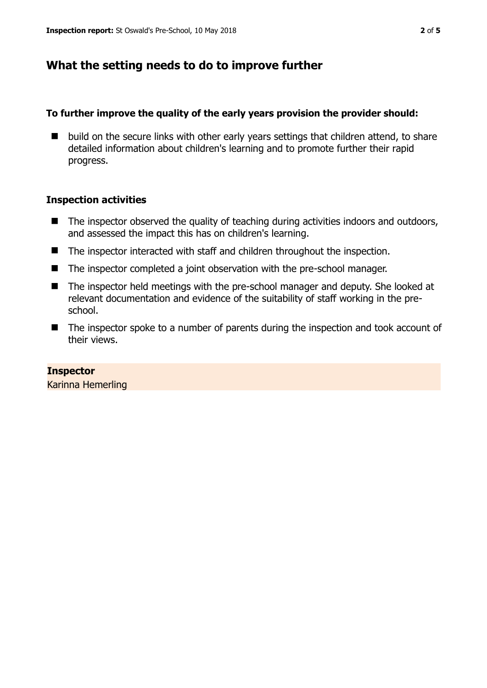# **What the setting needs to do to improve further**

## **To further improve the quality of the early years provision the provider should:**

 $\blacksquare$  build on the secure links with other early years settings that children attend, to share detailed information about children's learning and to promote further their rapid progress.

## **Inspection activities**

- $\blacksquare$  The inspector observed the quality of teaching during activities indoors and outdoors, and assessed the impact this has on children's learning.
- The inspector interacted with staff and children throughout the inspection.
- The inspector completed a joint observation with the pre-school manager.
- The inspector held meetings with the pre-school manager and deputy. She looked at relevant documentation and evidence of the suitability of staff working in the preschool.
- The inspector spoke to a number of parents during the inspection and took account of their views.

**Inspector**  Karinna Hemerling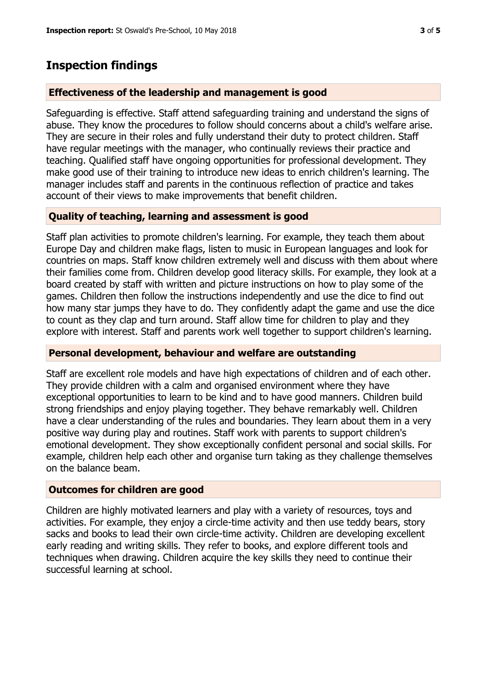## **Inspection findings**

#### **Effectiveness of the leadership and management is good**

Safeguarding is effective. Staff attend safeguarding training and understand the signs of abuse. They know the procedures to follow should concerns about a child's welfare arise. They are secure in their roles and fully understand their duty to protect children. Staff have regular meetings with the manager, who continually reviews their practice and teaching. Qualified staff have ongoing opportunities for professional development. They make good use of their training to introduce new ideas to enrich children's learning. The manager includes staff and parents in the continuous reflection of practice and takes account of their views to make improvements that benefit children.

## **Quality of teaching, learning and assessment is good**

Staff plan activities to promote children's learning. For example, they teach them about Europe Day and children make flags, listen to music in European languages and look for countries on maps. Staff know children extremely well and discuss with them about where their families come from. Children develop good literacy skills. For example, they look at a board created by staff with written and picture instructions on how to play some of the games. Children then follow the instructions independently and use the dice to find out how many star jumps they have to do. They confidently adapt the game and use the dice to count as they clap and turn around. Staff allow time for children to play and they explore with interest. Staff and parents work well together to support children's learning.

## **Personal development, behaviour and welfare are outstanding**

Staff are excellent role models and have high expectations of children and of each other. They provide children with a calm and organised environment where they have exceptional opportunities to learn to be kind and to have good manners. Children build strong friendships and enjoy playing together. They behave remarkably well. Children have a clear understanding of the rules and boundaries. They learn about them in a very positive way during play and routines. Staff work with parents to support children's emotional development. They show exceptionally confident personal and social skills. For example, children help each other and organise turn taking as they challenge themselves on the balance beam.

## **Outcomes for children are good**

Children are highly motivated learners and play with a variety of resources, toys and activities. For example, they enjoy a circle-time activity and then use teddy bears, story sacks and books to lead their own circle-time activity. Children are developing excellent early reading and writing skills. They refer to books, and explore different tools and techniques when drawing. Children acquire the key skills they need to continue their successful learning at school.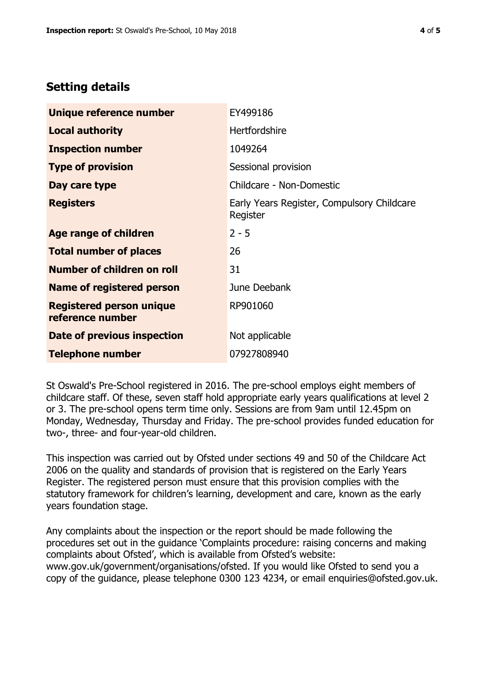# **Setting details**

| Unique reference number                             | EY499186                                               |  |
|-----------------------------------------------------|--------------------------------------------------------|--|
| <b>Local authority</b>                              | <b>Hertfordshire</b>                                   |  |
| <b>Inspection number</b>                            | 1049264                                                |  |
| <b>Type of provision</b>                            | Sessional provision                                    |  |
| Day care type                                       | Childcare - Non-Domestic                               |  |
| <b>Registers</b>                                    | Early Years Register, Compulsory Childcare<br>Register |  |
| Age range of children                               | $2 - 5$                                                |  |
| <b>Total number of places</b>                       | 26                                                     |  |
| Number of children on roll                          | 31                                                     |  |
| Name of registered person                           | June Deebank                                           |  |
| <b>Registered person unique</b><br>reference number | RP901060                                               |  |
| Date of previous inspection                         | Not applicable                                         |  |
| <b>Telephone number</b>                             | 07927808940                                            |  |

St Oswald's Pre-School registered in 2016. The pre-school employs eight members of childcare staff. Of these, seven staff hold appropriate early years qualifications at level 2 or 3. The pre-school opens term time only. Sessions are from 9am until 12.45pm on Monday, Wednesday, Thursday and Friday. The pre-school provides funded education for two-, three- and four-year-old children.

This inspection was carried out by Ofsted under sections 49 and 50 of the Childcare Act 2006 on the quality and standards of provision that is registered on the Early Years Register. The registered person must ensure that this provision complies with the statutory framework for children's learning, development and care, known as the early years foundation stage.

Any complaints about the inspection or the report should be made following the procedures set out in the guidance 'Complaints procedure: raising concerns and making complaints about Ofsted', which is available from Ofsted's website: www.gov.uk/government/organisations/ofsted. If you would like Ofsted to send you a copy of the guidance, please telephone 0300 123 4234, or email enquiries@ofsted.gov.uk.